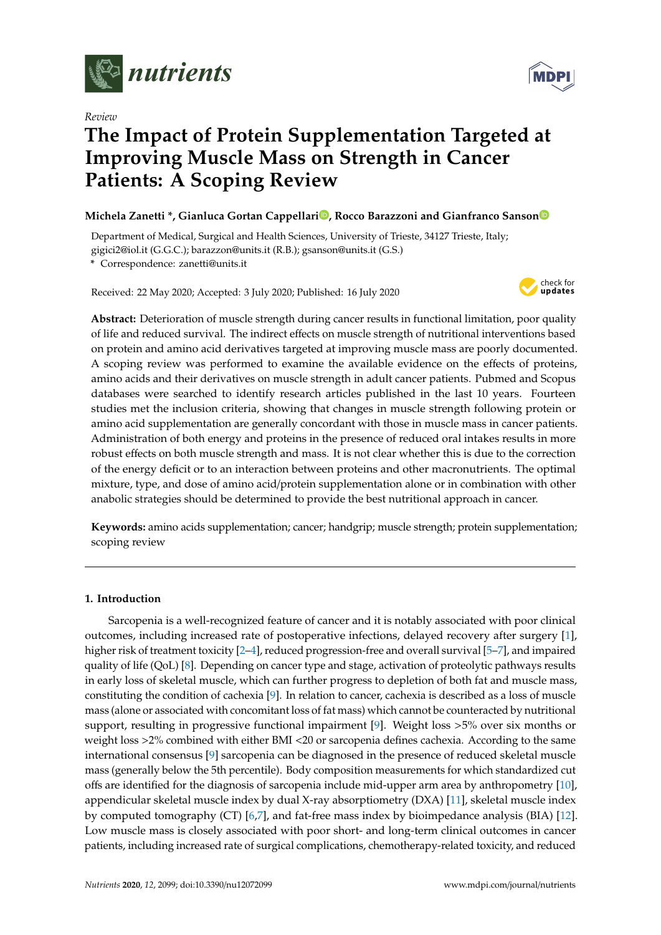

*Review*

# **The Impact of Protein Supplementation Targeted at Improving Muscle Mass on Strength in Cancer Patients: A Scoping Review**

# **Michela Zanetti \*, Gianluca Gortan Cappellar[i](https://orcid.org/0000-0002-0438-5003) , Rocco Barazzoni and Gianfranco Sanso[n](https://orcid.org/0000-0001-8319-635X)**

Department of Medical, Surgical and Health Sciences, University of Trieste, 34127 Trieste, Italy; gigici2@iol.it (G.G.C.); barazzon@units.it (R.B.); gsanson@units.it (G.S.)

**\*** Correspondence: zanetti@units.it

Received: 22 May 2020; Accepted: 3 July 2020; Published: 16 July 2020



**Abstract:** Deterioration of muscle strength during cancer results in functional limitation, poor quality of life and reduced survival. The indirect effects on muscle strength of nutritional interventions based on protein and amino acid derivatives targeted at improving muscle mass are poorly documented. A scoping review was performed to examine the available evidence on the effects of proteins, amino acids and their derivatives on muscle strength in adult cancer patients. Pubmed and Scopus databases were searched to identify research articles published in the last 10 years. Fourteen studies met the inclusion criteria, showing that changes in muscle strength following protein or amino acid supplementation are generally concordant with those in muscle mass in cancer patients. Administration of both energy and proteins in the presence of reduced oral intakes results in more robust effects on both muscle strength and mass. It is not clear whether this is due to the correction of the energy deficit or to an interaction between proteins and other macronutrients. The optimal mixture, type, and dose of amino acid/protein supplementation alone or in combination with other anabolic strategies should be determined to provide the best nutritional approach in cancer.

**Keywords:** amino acids supplementation; cancer; handgrip; muscle strength; protein supplementation; scoping review

# **1. Introduction**

Sarcopenia is a well-recognized feature of cancer and it is notably associated with poor clinical outcomes, including increased rate of postoperative infections, delayed recovery after surgery [\[1\]](#page-11-0), higher risk of treatment toxicity [\[2–](#page-11-1)[4\]](#page-11-2), reduced progression-free and overall survival [\[5](#page-12-0)[–7\]](#page-12-1), and impaired quality of life (QoL) [\[8\]](#page-12-2). Depending on cancer type and stage, activation of proteolytic pathways results in early loss of skeletal muscle, which can further progress to depletion of both fat and muscle mass, constituting the condition of cachexia [\[9\]](#page-12-3). In relation to cancer, cachexia is described as a loss of muscle mass (alone or associated with concomitant loss of fat mass) which cannot be counteracted by nutritional support, resulting in progressive functional impairment [\[9\]](#page-12-3). Weight loss >5% over six months or weight loss >2% combined with either BMI <20 or sarcopenia defines cachexia. According to the same international consensus [\[9\]](#page-12-3) sarcopenia can be diagnosed in the presence of reduced skeletal muscle mass (generally below the 5th percentile). Body composition measurements for which standardized cut offs are identified for the diagnosis of sarcopenia include mid-upper arm area by anthropometry [\[10\]](#page-12-4), appendicular skeletal muscle index by dual X-ray absorptiometry (DXA) [\[11\]](#page-12-5), skeletal muscle index by computed tomography (CT) [\[6](#page-12-6)[,7\]](#page-12-1), and fat-free mass index by bioimpedance analysis (BIA) [\[12\]](#page-12-7). Low muscle mass is closely associated with poor short- and long-term clinical outcomes in cancer patients, including increased rate of surgical complications, chemotherapy-related toxicity, and reduced

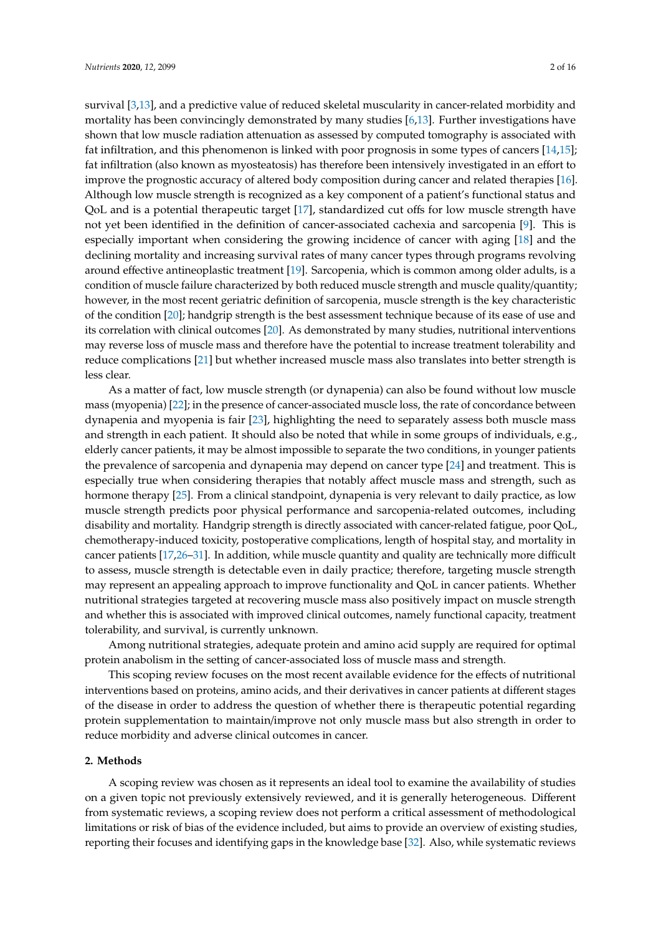survival [\[3](#page-11-3)[,13\]](#page-12-8), and a predictive value of reduced skeletal muscularity in cancer-related morbidity and mortality has been convincingly demonstrated by many studies [\[6](#page-12-6)[,13\]](#page-12-8). Further investigations have shown that low muscle radiation attenuation as assessed by computed tomography is associated with fat infiltration, and this phenomenon is linked with poor prognosis in some types of cancers [\[14,](#page-12-9)[15\]](#page-12-10); fat infiltration (also known as myosteatosis) has therefore been intensively investigated in an effort to improve the prognostic accuracy of altered body composition during cancer and related therapies [\[16\]](#page-12-11). Although low muscle strength is recognized as a key component of a patient's functional status and QoL and is a potential therapeutic target [\[17\]](#page-12-12), standardized cut offs for low muscle strength have not yet been identified in the definition of cancer-associated cachexia and sarcopenia [\[9\]](#page-12-3). This is especially important when considering the growing incidence of cancer with aging [\[18\]](#page-12-13) and the declining mortality and increasing survival rates of many cancer types through programs revolving around effective antineoplastic treatment [\[19\]](#page-12-14). Sarcopenia, which is common among older adults, is a condition of muscle failure characterized by both reduced muscle strength and muscle quality/quantity; however, in the most recent geriatric definition of sarcopenia, muscle strength is the key characteristic of the condition [\[20\]](#page-12-15); handgrip strength is the best assessment technique because of its ease of use and its correlation with clinical outcomes [\[20\]](#page-12-15). As demonstrated by many studies, nutritional interventions may reverse loss of muscle mass and therefore have the potential to increase treatment tolerability and reduce complications [\[21\]](#page-12-16) but whether increased muscle mass also translates into better strength is less clear.

As a matter of fact, low muscle strength (or dynapenia) can also be found without low muscle mass (myopenia) [\[22\]](#page-12-17); in the presence of cancer-associated muscle loss, the rate of concordance between dynapenia and myopenia is fair [\[23\]](#page-13-0), highlighting the need to separately assess both muscle mass and strength in each patient. It should also be noted that while in some groups of individuals, e.g., elderly cancer patients, it may be almost impossible to separate the two conditions, in younger patients the prevalence of sarcopenia and dynapenia may depend on cancer type [\[24\]](#page-13-1) and treatment. This is especially true when considering therapies that notably affect muscle mass and strength, such as hormone therapy [\[25\]](#page-13-2). From a clinical standpoint, dynapenia is very relevant to daily practice, as low muscle strength predicts poor physical performance and sarcopenia-related outcomes, including disability and mortality. Handgrip strength is directly associated with cancer-related fatigue, poor QoL, chemotherapy-induced toxicity, postoperative complications, length of hospital stay, and mortality in cancer patients [\[17,](#page-12-12)[26–](#page-13-3)[31\]](#page-13-4). In addition, while muscle quantity and quality are technically more difficult to assess, muscle strength is detectable even in daily practice; therefore, targeting muscle strength may represent an appealing approach to improve functionality and QoL in cancer patients. Whether nutritional strategies targeted at recovering muscle mass also positively impact on muscle strength and whether this is associated with improved clinical outcomes, namely functional capacity, treatment tolerability, and survival, is currently unknown.

Among nutritional strategies, adequate protein and amino acid supply are required for optimal protein anabolism in the setting of cancer-associated loss of muscle mass and strength.

This scoping review focuses on the most recent available evidence for the effects of nutritional interventions based on proteins, amino acids, and their derivatives in cancer patients at different stages of the disease in order to address the question of whether there is therapeutic potential regarding protein supplementation to maintain/improve not only muscle mass but also strength in order to reduce morbidity and adverse clinical outcomes in cancer.

# **2. Methods**

A scoping review was chosen as it represents an ideal tool to examine the availability of studies on a given topic not previously extensively reviewed, and it is generally heterogeneous. Different from systematic reviews, a scoping review does not perform a critical assessment of methodological limitations or risk of bias of the evidence included, but aims to provide an overview of existing studies, reporting their focuses and identifying gaps in the knowledge base [\[32\]](#page-13-5). Also, while systematic reviews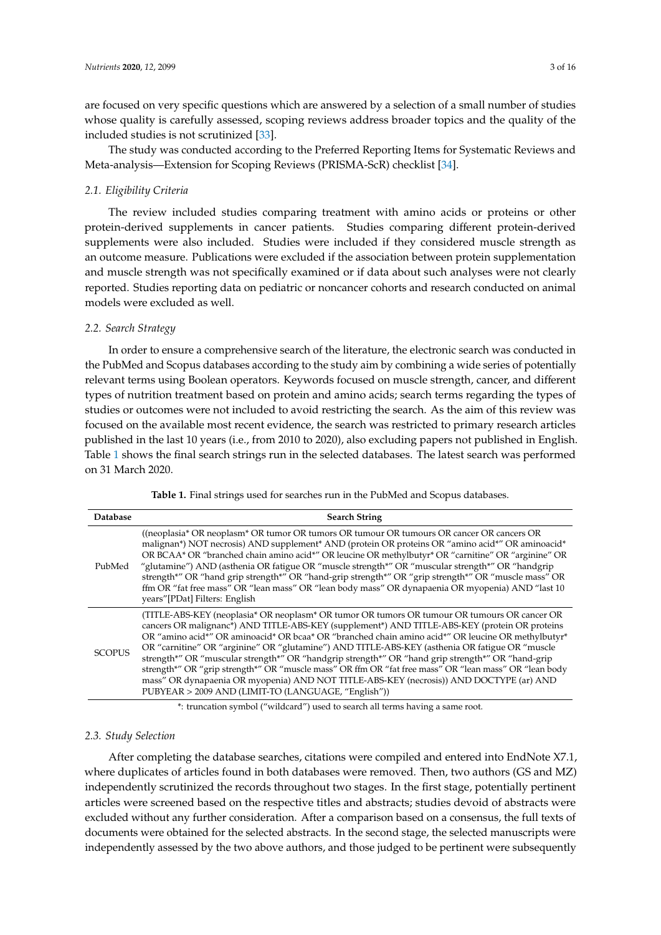are focused on very specific questions which are answered by a selection of a small number of studies whose quality is carefully assessed, scoping reviews address broader topics and the quality of the included studies is not scrutinized [\[33\]](#page-13-6).

The study was conducted according to the Preferred Reporting Items for Systematic Reviews and Meta-analysis—Extension for Scoping Reviews (PRISMA-ScR) checklist [\[34\]](#page-13-7).

# *2.1. Eligibility Criteria*

The review included studies comparing treatment with amino acids or proteins or other protein-derived supplements in cancer patients. Studies comparing different protein-derived supplements were also included. Studies were included if they considered muscle strength as an outcome measure. Publications were excluded if the association between protein supplementation and muscle strength was not specifically examined or if data about such analyses were not clearly reported. Studies reporting data on pediatric or noncancer cohorts and research conducted on animal models were excluded as well.

# *2.2. Search Strategy*

In order to ensure a comprehensive search of the literature, the electronic search was conducted in the PubMed and Scopus databases according to the study aim by combining a wide series of potentially relevant terms using Boolean operators. Keywords focused on muscle strength, cancer, and different types of nutrition treatment based on protein and amino acids; search terms regarding the types of studies or outcomes were not included to avoid restricting the search. As the aim of this review was focused on the available most recent evidence, the search was restricted to primary research articles published in the last 10 years (i.e., from 2010 to 2020), also excluding papers not published in English. Table [1](#page-2-0) shows the final search strings run in the selected databases. The latest search was performed on 31 March 2020.

|  |  |  | Table 1. Final strings used for searches run in the PubMed and Scopus databases. |
|--|--|--|----------------------------------------------------------------------------------|
|--|--|--|----------------------------------------------------------------------------------|

<span id="page-2-0"></span>

| Database      | <b>Search String</b>                                                                                                                                                                                                                                                                                                                                                                                                                                                                                                                                                                                                                                                                                                                                                   |
|---------------|------------------------------------------------------------------------------------------------------------------------------------------------------------------------------------------------------------------------------------------------------------------------------------------------------------------------------------------------------------------------------------------------------------------------------------------------------------------------------------------------------------------------------------------------------------------------------------------------------------------------------------------------------------------------------------------------------------------------------------------------------------------------|
| PubMed        | ((neoplasia* OR neoplasm* OR tumor OR tumors OR tumour OR tumours OR cancer OR cancers OR<br>malignan <sup>*</sup> ) NOT necrosis) AND supplement <sup>*</sup> AND (protein OR proteins OR "amino acid*" OR aminoacid <sup>*</sup><br>OR BCAA* OR "branched chain amino acid*" OR leucine OR methylbutyr* OR "carnitine" OR "arginine" OR<br>"glutamine") AND (asthenia OR fatigue OR "muscle strength*" OR "muscular strength*" OR "handgrip"<br>strength*" OR "hand grip strength*" OR "hand-grip strength*" OR "grip strength*" OR "muscle mass" OR<br>ffm OR "fat free mass" OR "lean mass" OR "lean body mass" OR dynapaenia OR myopenia) AND "last 10<br>years"[PDat] Filters: English                                                                           |
| <b>SCOPUS</b> | (TITLE-ABS-KEY (neoplasia* OR neoplasm* OR tumor OR tumors OR tumour OR tumours OR cancer OR<br>cancers OR malignanc*) AND TITLE-ABS-KEY (supplement*) AND TITLE-ABS-KEY (protein OR proteins<br>OR "amino acid*" OR aminoacid* OR bcaa* OR "branched chain amino acid*" OR leucine OR methylbutyr*<br>OR "carnitine" OR "arginine" OR "glutamine") AND TITLE-ABS-KEY (asthenia OR fatigue OR "muscle<br>strength*" OR "muscular strength*" OR "handgrip strength*" OR "hand grip strength*" OR "hand-grip<br>strength*" OR "grip strength*" OR "muscle mass" OR ffm OR "fat free mass" OR "lean mass" OR "lean body<br>mass" OR dynapaenia OR myopenia) AND NOT TITLE-ABS-KEY (necrosis)) AND DOCTYPE (ar) AND<br>PUBYEAR > 2009 AND (LIMIT-TO (LANGUAGE, "English")) |

\*: truncation symbol ("wildcard") used to search all terms having a same root.

# *2.3. Study Selection*

After completing the database searches, citations were compiled and entered into EndNote X7.1, where duplicates of articles found in both databases were removed. Then, two authors (GS and MZ) independently scrutinized the records throughout two stages. In the first stage, potentially pertinent articles were screened based on the respective titles and abstracts; studies devoid of abstracts were excluded without any further consideration. After a comparison based on a consensus, the full texts of documents were obtained for the selected abstracts. In the second stage, the selected manuscripts were independently assessed by the two above authors, and those judged to be pertinent were subsequently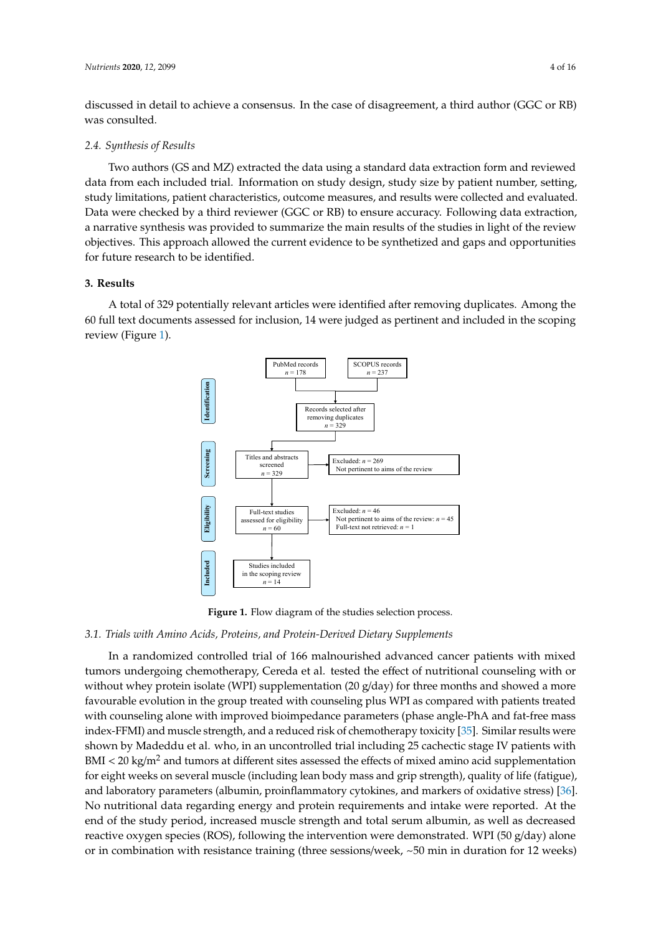discussed in detail to achieve a consensus. In the case of disagreement, a third author (GGC or RB) was consulted.

### *2.4. Synthesis of Results*

Two authors (GS and MZ) extracted the data using a standard data extraction form and reviewed data from each included trial. Information on study design, study size by patient number, setting, study limitations, patient characteristics, outcome measures, and results were collected and evaluated. Data were checked by a third reviewer (GGC or RB) to ensure accuracy. Following data extraction, a narrative synthesis was provided to summarize the main results of the studies in light of the review objectives. This approach allowed the current evidence to be synthetized and gaps and opportunities for future research to be identified.

# **3. Results**

A total of 329 potentially relevant articles were identified after removing duplicates. Among the 60 full text documents assessed for inclusion, 14 were judged as pertinent and included in the scoping review (Figure [1\)](#page-3-0).



**Figure 1.** Flow diagram of the studies selection process.

# **Figure 1.** Flow diagram of the studies selection process. *3.1. Trials with Amino Acids, Proteins, and Protein-Derived Dietary Supplements*

<span id="page-3-0"></span>In a randomized controlled trial of 166 malnourished advanced cancer patients with mixed In a randomized controlled trial of 166 malnourished advanced cancer patients with mixed tumors undergoing chemotherapy, Cereda et al. tested the effect of nutritional counseling with or tumors undergoing chemotherapy, Cereda et al. tested the effect of nutritional counseling with or where is isolate (WPI) supplementation (20  $g/day$ ) for three months and s without whey protein isolate (WPI) supplementation (20 g/day) for three months and showed a more favourable evolution in the group treated with counseling plus WPI as compared with patients treated with counseling alone with improved bioimpedance parameters (phase angle-PhA and fat-free mass  $\frac{1}{2}$ results were shown by Madedou et al. who, in an uncontrolled trial including 25 cachectic stage IV and  $\frac{1}{2}$ index-FFMI) and muscle strength, and a reduced risk of chemotherapy toxicity [\[35\]](#page-14-0). Similar results were shown by Madeddu et al. who, in an uncontrolled trial including 25 cachectic stage IV patients with quality of life (fatigue), and laboratory parameters (albumin, provincial parameters (albumin, provincial parameters (albumin, provincial parameters)  $\text{BMI} < 20 \text{ kg/m}^2$  and tumors at different sites assessed the effects of mixed amino acid supplementation for eight weeks on several muscle (including lean body mass and grip strength), quality of life (fatigue), parameters (albumin, proinflammatery sytokines, and markers of oxides and laboratory parameters (albumin, proinflammatory cytokines, and markers of oxidative stress) [\[36\]](#page-14-1). No nutritional data regarding energy and protein requirements and intake were reported. At the end of the study period, increased muscle strength and total serum albumin, as well as decreased  $\frac{1}{2}$  sarcopenia, and  $\frac{1}{2}$  were compared to those of single interventions (resistance reactive oxygen species (ROS), following the intervention were demonstrated. WPI (50 g/day) alone or in combination with resistance training (three sessions/week,  $\sim$ 50 min in duration for 12 weeks) External or resistance of the study period) or resistance training plus creations of the resistance training of the study period of the study period is the study of the study of the study of the study of the study of the s

 $\sigma$  any of the 12-week intervention  $\sigma$ . Similar results were obtained intervention  $\sigma$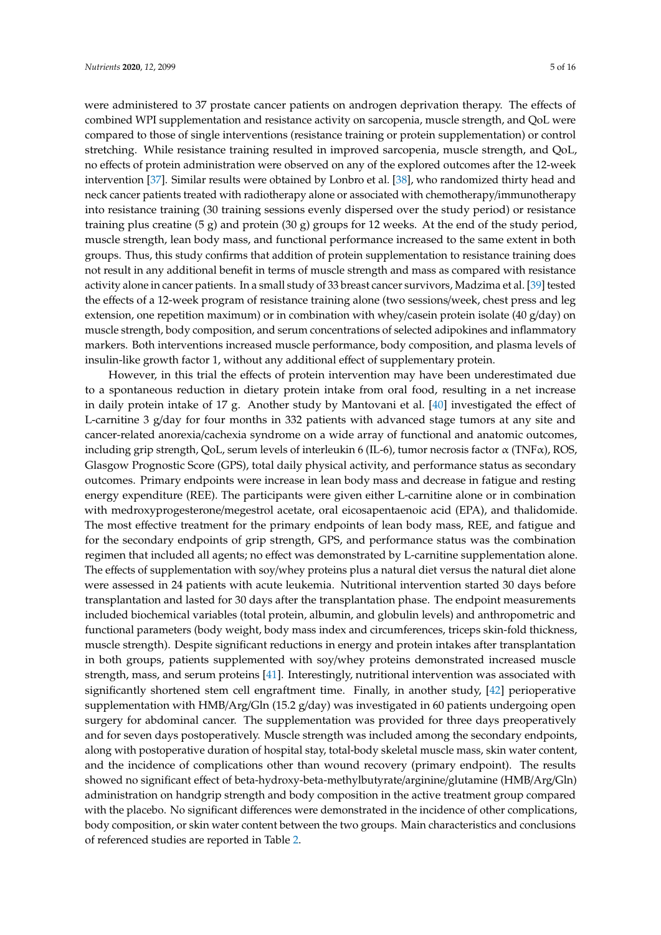were administered to 37 prostate cancer patients on androgen deprivation therapy. The effects of combined WPI supplementation and resistance activity on sarcopenia, muscle strength, and QoL were compared to those of single interventions (resistance training or protein supplementation) or control stretching. While resistance training resulted in improved sarcopenia, muscle strength, and QoL, no effects of protein administration were observed on any of the explored outcomes after the 12-week intervention [\[37\]](#page-14-2). Similar results were obtained by Lonbro et al. [\[38\]](#page-14-3), who randomized thirty head and neck cancer patients treated with radiotherapy alone or associated with chemotherapy/immunotherapy into resistance training (30 training sessions evenly dispersed over the study period) or resistance training plus creatine  $(5 g)$  and protein  $(30 g)$  groups for 12 weeks. At the end of the study period, muscle strength, lean body mass, and functional performance increased to the same extent in both groups. Thus, this study confirms that addition of protein supplementation to resistance training does not result in any additional benefit in terms of muscle strength and mass as compared with resistance activity alone in cancer patients. In a small study of 33 breast cancer survivors, Madzima et al. [\[39\]](#page-14-4) tested the effects of a 12-week program of resistance training alone (two sessions/week, chest press and leg extension, one repetition maximum) or in combination with whey/casein protein isolate (40 g/day) on muscle strength, body composition, and serum concentrations of selected adipokines and inflammatory markers. Both interventions increased muscle performance, body composition, and plasma levels of insulin-like growth factor 1, without any additional effect of supplementary protein.

However, in this trial the effects of protein intervention may have been underestimated due to a spontaneous reduction in dietary protein intake from oral food, resulting in a net increase in daily protein intake of 17 g. Another study by Mantovani et al. [\[40\]](#page-14-5) investigated the effect of L-carnitine 3 g/day for four months in 332 patients with advanced stage tumors at any site and cancer-related anorexia/cachexia syndrome on a wide array of functional and anatomic outcomes, including grip strength, QoL, serum levels of interleukin 6 (IL-6), tumor necrosis factor  $\alpha$  (TNF $\alpha$ ), ROS, Glasgow Prognostic Score (GPS), total daily physical activity, and performance status as secondary outcomes. Primary endpoints were increase in lean body mass and decrease in fatigue and resting energy expenditure (REE). The participants were given either L-carnitine alone or in combination with medroxyprogesterone/megestrol acetate, oral eicosapentaenoic acid (EPA), and thalidomide. The most effective treatment for the primary endpoints of lean body mass, REE, and fatigue and for the secondary endpoints of grip strength, GPS, and performance status was the combination regimen that included all agents; no effect was demonstrated by L-carnitine supplementation alone. The effects of supplementation with soy/whey proteins plus a natural diet versus the natural diet alone were assessed in 24 patients with acute leukemia. Nutritional intervention started 30 days before transplantation and lasted for 30 days after the transplantation phase. The endpoint measurements included biochemical variables (total protein, albumin, and globulin levels) and anthropometric and functional parameters (body weight, body mass index and circumferences, triceps skin-fold thickness, muscle strength). Despite significant reductions in energy and protein intakes after transplantation in both groups, patients supplemented with soy/whey proteins demonstrated increased muscle strength, mass, and serum proteins [\[41\]](#page-14-6). Interestingly, nutritional intervention was associated with significantly shortened stem cell engraftment time. Finally, in another study, [\[42\]](#page-14-7) perioperative supplementation with HMB/Arg/Gln (15.2 g/day) was investigated in 60 patients undergoing open surgery for abdominal cancer. The supplementation was provided for three days preoperatively and for seven days postoperatively. Muscle strength was included among the secondary endpoints, along with postoperative duration of hospital stay, total-body skeletal muscle mass, skin water content, and the incidence of complications other than wound recovery (primary endpoint). The results showed no significant effect of beta-hydroxy-beta-methylbutyrate/arginine/glutamine (HMB/Arg/Gln) administration on handgrip strength and body composition in the active treatment group compared with the placebo. No significant differences were demonstrated in the incidence of other complications, body composition, or skin water content between the two groups. Main characteristics and conclusions of referenced studies are reported in Table [2.](#page-7-0)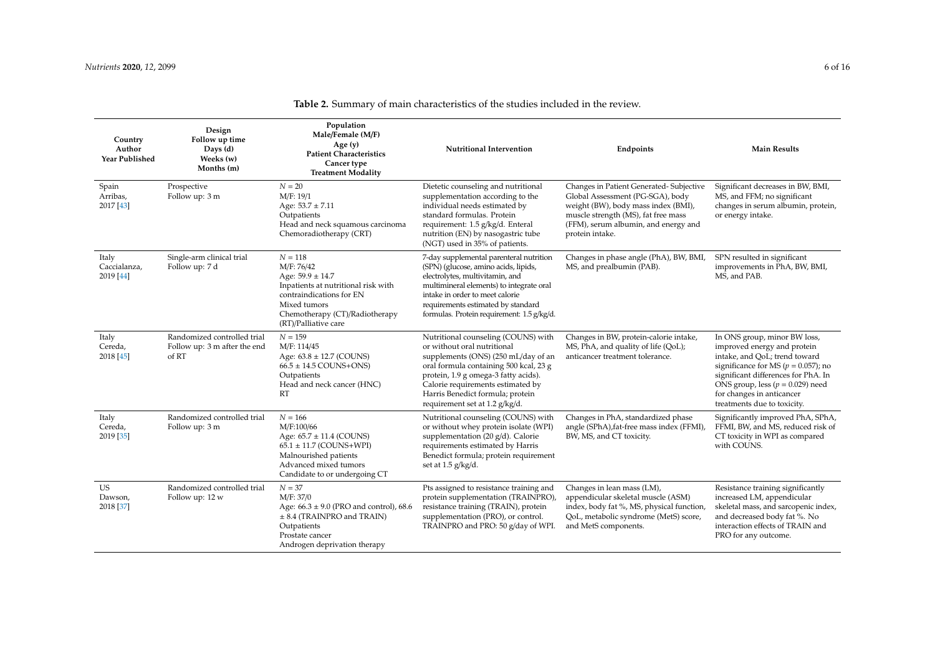| Country<br>Author<br>Year Published | Design<br>Follow up time<br>Days (d)<br>Weeks (w)<br>Months (m)      | Population<br>Male/Female (M/F)<br>Age $(y)$<br><b>Patient Characteristics</b><br>Cancer type<br><b>Treatment Modality</b>                                                                   | <b>Nutritional Intervention</b>                                                                                                                                                                                                                                                                        | Endpoints                                                                                                                                                                                                            | <b>Main Results</b>                                                                                                                                                                                                                                                                |
|-------------------------------------|----------------------------------------------------------------------|----------------------------------------------------------------------------------------------------------------------------------------------------------------------------------------------|--------------------------------------------------------------------------------------------------------------------------------------------------------------------------------------------------------------------------------------------------------------------------------------------------------|----------------------------------------------------------------------------------------------------------------------------------------------------------------------------------------------------------------------|------------------------------------------------------------------------------------------------------------------------------------------------------------------------------------------------------------------------------------------------------------------------------------|
| Spain<br>Arribas,<br>2017 [43]      | Prospective<br>Follow up: 3 m                                        | $N = 20$<br>M/F: 19/1<br>Age: $53.7 \pm 7.11$<br>Outpatients<br>Head and neck squamous carcinoma<br>Chemoradiotherapy (CRT)                                                                  | Dietetic counseling and nutritional<br>supplementation according to the<br>individual needs estimated by<br>standard formulas. Protein<br>requirement: 1.5 g/kg/d. Enteral<br>nutrition (EN) by nasogastric tube<br>(NGT) used in 35% of patients.                                                     | Changes in Patient Generated-Subjective<br>Global Assessment (PG-SGA), body<br>weight (BW), body mass index (BMI),<br>muscle strength (MS), fat free mass<br>(FFM), serum albumin, and energy and<br>protein intake. | Significant decreases in BW, BMI,<br>MS, and FFM; no significant<br>changes in serum albumin, protein,<br>or energy intake.                                                                                                                                                        |
| Italy<br>Caccialanza,<br>2019 [44]  | Single-arm clinical trial<br>Follow up: 7 d                          | $N = 118$<br>M/F: 76/42<br>Age: $59.9 \pm 14.7$<br>Inpatients at nutritional risk with<br>contraindications for EN<br>Mixed tumors<br>Chemotherapy (CT)/Radiotherapy<br>(RT)/Palliative care | 7-day supplemental parenteral nutrition<br>(SPN) (glucose, amino acids, lipids,<br>electrolytes, multivitamin, and<br>multimineral elements) to integrate oral<br>intake in order to meet calorie<br>requirements estimated by standard<br>formulas. Protein requirement: 1.5 g/kg/d.                  | Changes in phase angle (PhA), BW, BMI,<br>MS, and prealbumin (PAB).                                                                                                                                                  | SPN resulted in significant<br>improvements in PhA, BW, BMI,<br>MS, and PAB.                                                                                                                                                                                                       |
| Italy<br>Cereda,<br>2018 [45]       | Randomized controlled trial<br>Follow up: 3 m after the end<br>of RT | $N = 159$<br>M/F: 114/45<br>Age: $63.8 \pm 12.7$ (COUNS)<br>$66.5 \pm 14.5$ COUNS+ONS)<br>Outpatients<br>Head and neck cancer (HNC)<br>RT                                                    | Nutritional counseling (COUNS) with<br>or without oral nutritional<br>supplements (ONS) (250 mL/day of an<br>oral formula containing 500 kcal, 23 g<br>protein, 1.9 g omega-3 fatty acids).<br>Calorie requirements estimated by<br>Harris Benedict formula; protein<br>requirement set at 1.2 g/kg/d. | Changes in BW, protein-calorie intake,<br>MS, PhA, and quality of life (QoL);<br>anticancer treatment tolerance.                                                                                                     | In ONS group, minor BW loss,<br>improved energy and protein<br>intake, and QoL; trend toward<br>significance for MS ( $p = 0.057$ ); no<br>significant differences for PhA. In<br>ONS group, less ( $p = 0.029$ ) need<br>for changes in anticancer<br>treatments due to toxicity. |
| Italy<br>Cereda,<br>2019 [35]       | Randomized controlled trial<br>Follow up: 3 m                        | $N = 166$<br>M/F:100/66<br>Age: $65.7 \pm 11.4$ (COUNS)<br>$65.1 \pm 11.7$ (COUNS+WPI)<br>Malnourished patients<br>Advanced mixed tumors<br>Candidate to or undergoing CT                    | Nutritional counseling (COUNS) with<br>or without whey protein isolate (WPI)<br>supplementation (20 g/d). Calorie<br>requirements estimated by Harris<br>Benedict formula; protein requirement<br>set at 1.5 g/kg/d.                                                                                   | Changes in PhA, standardized phase<br>angle (SPhA), fat-free mass index (FFMI),<br>BW, MS, and CT toxicity.                                                                                                          | Significantly improved PhA, SPhA,<br>FFMI, BW, and MS, reduced risk of<br>CT toxicity in WPI as compared<br>with COUNS.                                                                                                                                                            |
| <b>US</b><br>Dawson,<br>2018 [37]   | Randomized controlled trial<br>Follow up: 12 w                       | $N = 37$<br>M/F: 37/0<br>Age: $66.3 \pm 9.0$ (PRO and control), $68.6$<br>$\pm$ 8.4 (TRAINPRO and TRAIN)<br>Outpatients<br>Prostate cancer<br>Androgen deprivation therapy                   | Pts assigned to resistance training and<br>protein supplementation (TRAINPRO),<br>resistance training (TRAIN), protein<br>supplementation (PRO), or control.<br>TRAINPRO and PRO: 50 g/day of WPI.                                                                                                     | Changes in lean mass (LM),<br>appendicular skeletal muscle (ASM)<br>index, body fat %, MS, physical function,<br>QoL, metabolic syndrome (MetS) score,<br>and MetS components.                                       | Resistance training significantly<br>increased LM, appendicular<br>skeletal mass, and sarcopenic index,<br>and decreased body fat %. No<br>interaction effects of TRAIN and<br>PRO for any outcome.                                                                                |

# **Table 2.** Summary of main characteristics of the studies included in the review.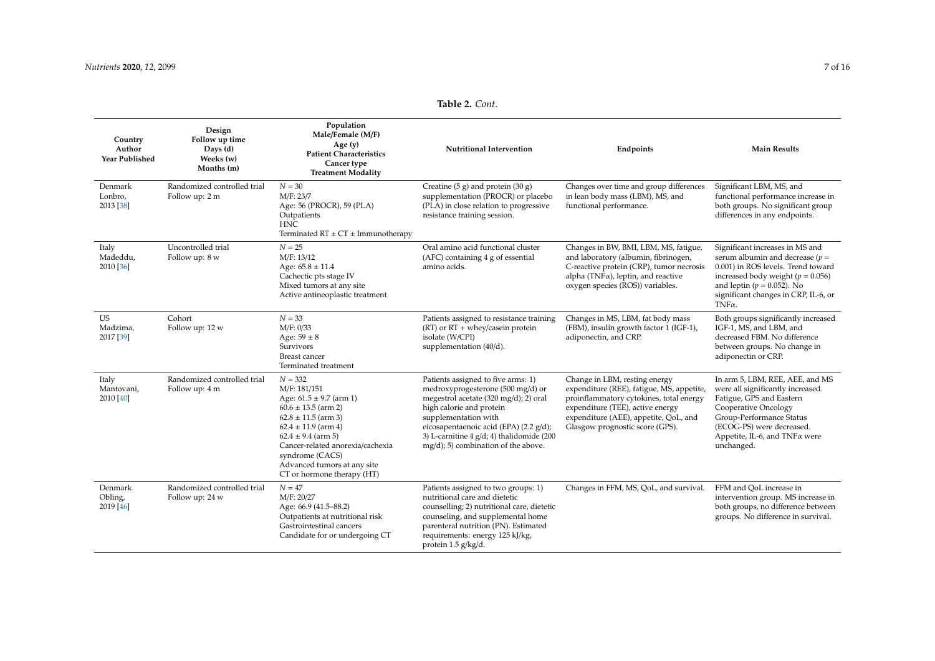| Country<br>Author<br><b>Year Published</b> | Design<br>Follow up time<br>Days (d)<br>Weeks (w)<br>Months (m) | Population<br>Male/Female (M/F)<br>Age $(y)$<br><b>Patient Characteristics</b><br>Cancer type<br><b>Treatment Modality</b>                                                                                                                                                              | <b>Nutritional Intervention</b>                                                                                                                                                                                                                                                                      | Endpoints                                                                                                                                                                                                                             | <b>Main Results</b>                                                                                                                                                                                                                             |
|--------------------------------------------|-----------------------------------------------------------------|-----------------------------------------------------------------------------------------------------------------------------------------------------------------------------------------------------------------------------------------------------------------------------------------|------------------------------------------------------------------------------------------------------------------------------------------------------------------------------------------------------------------------------------------------------------------------------------------------------|---------------------------------------------------------------------------------------------------------------------------------------------------------------------------------------------------------------------------------------|-------------------------------------------------------------------------------------------------------------------------------------------------------------------------------------------------------------------------------------------------|
| Denmark<br>Lonbro,<br>2013 [38]            | Randomized controlled trial<br>Follow up: 2 m                   | $N = 30$<br>M/F: 23/7<br>Age: 56 (PROCR), 59 (PLA)<br>Outpatients<br><b>HNC</b><br>Terminated $RT \pm CT \pm$ Immunotherapy                                                                                                                                                             | Creatine $(5 g)$ and protein $(30 g)$<br>supplementation (PROCR) or placebo<br>(PLA) in close relation to progressive<br>resistance training session.                                                                                                                                                | Changes over time and group differences<br>in lean body mass (LBM), MS, and<br>functional performance.                                                                                                                                | Significant LBM, MS, and<br>functional performance increase in<br>both groups. No significant group<br>differences in any endpoints.                                                                                                            |
| Italy<br>Madeddu,<br>2010 [36]             | Uncontrolled trial<br>Follow up: 8 w                            | $N = 25$<br>M/F: 13/12<br>Age: $65.8 \pm 11.4$<br>Cachectic pts stage IV<br>Mixed tumors at any site<br>Active antineoplastic treatment                                                                                                                                                 | Oral amino acid functional cluster<br>(AFC) containing 4 g of essential<br>amino acids.                                                                                                                                                                                                              | Changes in BW, BMI, LBM, MS, fatigue,<br>and laboratory (albumin, fibrinogen,<br>C-reactive protein (CRP), tumor necrosis<br>alpha (TNF $\alpha$ ), leptin, and reactive<br>oxygen species (ROS)) variables.                          | Significant increases in MS and<br>serum albumin and decrease ( $p =$<br>0.001) in ROS levels. Trend toward<br>increased body weight ( $p = 0.056$ )<br>and leptin ( $p = 0.052$ ). No<br>significant changes in CRP, IL-6, or<br>$TNF\alpha$ . |
| <b>US</b><br>Madzima,<br>2017 [39]         | Cohort<br>Follow up: 12 w                                       | $N = 33$<br>M/F: 0/33<br>Age: $59 \pm 8$<br>Survivors<br>Breast cancer<br>Terminated treatment                                                                                                                                                                                          | Patients assigned to resistance training<br>$(RT)$ or $RT +$ whey/casein protein<br>isolate (W/CPI)<br>supplementation (40/d).                                                                                                                                                                       | Changes in MS, LBM, fat body mass<br>(FBM), insulin growth factor 1 (IGF-1),<br>adiponectin, and CRP.                                                                                                                                 | Both groups significantly increased<br>IGF-1, MS, and LBM, and<br>decreased FBM. No difference<br>between groups. No change in<br>adiponectin or CRP.                                                                                           |
| Italy<br>Mantovani,<br>2010 [40]           | Randomized controlled trial<br>Follow up: 4 m                   | $N = 332$<br>M/F: 181/151<br>Age: $61.5 \pm 9.7$ (arm 1)<br>$60.6 \pm 13.5$ (arm 2)<br>$62.8 \pm 11.5$ (arm 3)<br>$62.4 \pm 11.9$ (arm 4)<br>$62.4 \pm 9.4$ (arm 5)<br>Cancer-related anorexia/cachexia<br>syndrome (CACS)<br>Advanced tumors at any site<br>CT or hormone therapy (HT) | Patients assigned to five arms: 1)<br>medroxyprogesterone (500 mg/d) or<br>megestrol acetate (320 mg/d); 2) oral<br>high calorie and protein<br>supplementation with<br>eicosapentaenoic acid (EPA) (2.2 g/d);<br>3) L-carnitine $4$ g/d; 4) thalidomide (200<br>mg/d); 5) combination of the above. | Change in LBM, resting energy<br>expenditure (REE), fatigue, MS, appetite,<br>proinflammatory cytokines, total energy<br>expenditure (TEE), active energy<br>expenditure (AEE), appetite, QoL, and<br>Glasgow prognostic score (GPS). | In arm 5, LBM, REE, AEE, and MS<br>were all significantly increased.<br>Fatigue, GPS and Eastern<br>Cooperative Oncology<br>Group-Performance Status<br>(ECOG-PS) were decreased.<br>Appetite, IL-6, and TNF a were<br>unchanged.               |
| Denmark<br>Obling,<br>2019 [46]            | Randomized controlled trial<br>Follow up: 24 w                  | $N = 47$<br>M/F: 20/27<br>Age: 66.9 (41.5-88.2)<br>Outpatients at nutritional risk<br>Gastrointestinal cancers<br>Candidate for or undergoing CT                                                                                                                                        | Patients assigned to two groups: 1)<br>nutritional care and dietetic<br>counselling; 2) nutritional care, dietetic<br>counseling, and supplemental home<br>parenteral nutrition (PN). Estimated<br>requirements: energy 125 kJ/kg,<br>protein 1.5 g/kg/d.                                            | Changes in FFM, MS, QoL, and survival.                                                                                                                                                                                                | FFM and QoL increase in<br>intervention group. MS increase in<br>both groups, no difference between<br>groups. No difference in survival.                                                                                                       |

# **Table 2.** *Cont*.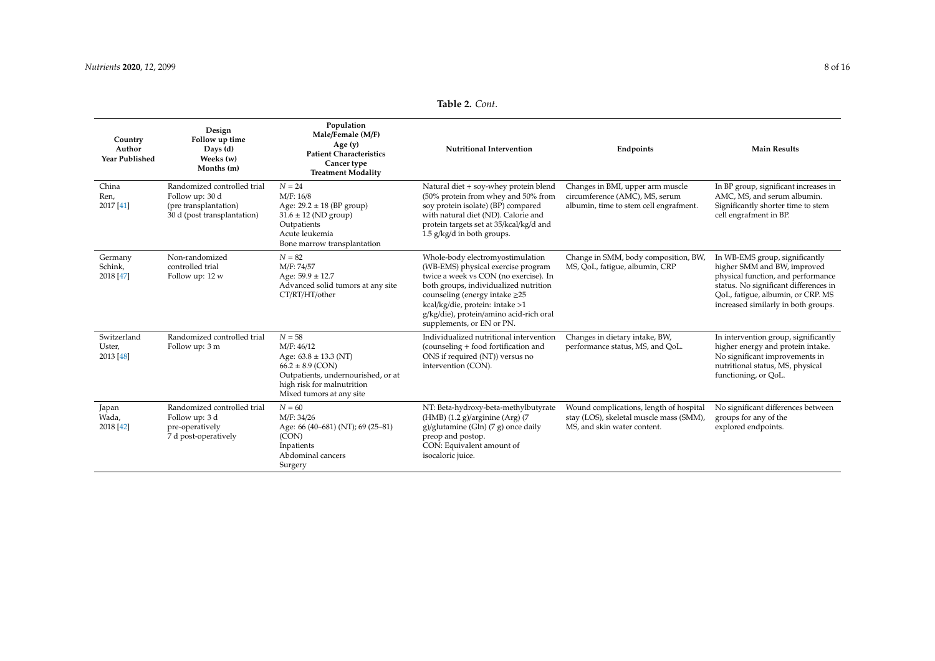<span id="page-7-0"></span>

| Country<br>Author<br><b>Year Published</b> | Design<br>Follow up time<br>Days $(d)$<br>Weeks (w)<br>Months (m)                                      | Population<br>Male/Female (M/F)<br>Age $(y)$<br><b>Patient Characteristics</b><br>Cancer type<br><b>Treatment Modality</b>                                                  | <b>Nutritional Intervention</b>                                                                                                                                                                                                                                                                            | Endpoints                                                                                                         | <b>Main Results</b>                                                                                                                                                                                                      |
|--------------------------------------------|--------------------------------------------------------------------------------------------------------|-----------------------------------------------------------------------------------------------------------------------------------------------------------------------------|------------------------------------------------------------------------------------------------------------------------------------------------------------------------------------------------------------------------------------------------------------------------------------------------------------|-------------------------------------------------------------------------------------------------------------------|--------------------------------------------------------------------------------------------------------------------------------------------------------------------------------------------------------------------------|
| China<br>Ren,<br>$2017$ [41]               | Randomized controlled trial<br>Follow up: 30 d<br>(pre transplantation)<br>30 d (post transplantation) | $N = 24$<br>M/F: 16/8<br>Age: $29.2 \pm 18$ (BP group)<br>$31.6 \pm 12$ (ND group)<br>Outpatients<br>Acute leukemia<br>Bone marrow transplantation                          | Natural diet + soy-whey protein blend<br>(50% protein from whey and 50% from<br>soy protein isolate) (BP) compared<br>with natural diet (ND). Calorie and<br>protein targets set at 35/kcal/kg/d and<br>$1.5$ g/kg/d in both groups.                                                                       | Changes in BMI, upper arm muscle<br>circumference (AMC), MS, serum<br>albumin, time to stem cell engrafment.      | In BP group, significant increases in<br>AMC, MS, and serum albumin.<br>Significantly shorter time to stem<br>cell engrafment in BP.                                                                                     |
| Germany<br>Schink,<br>2018 [47]            | Non-randomized<br>controlled trial<br>Follow up: 12 w                                                  | $N = 82$<br>M/F: 74/57<br>Age: $59.9 \pm 12.7$<br>Advanced solid tumors at any site<br>CT/RT/HT/other                                                                       | Whole-body electromyostimulation<br>(WB-EMS) physical exercise program<br>twice a week vs CON (no exercise). In<br>both groups, individualized nutrition<br>counseling (energy intake $\geq$ 25<br>kcal/kg/die, protein: intake >1<br>g/kg/die), protein/amino acid-rich oral<br>supplements, or EN or PN. | Change in SMM, body composition, BW,<br>MS, QoL, fatigue, albumin, CRP                                            | In WB-EMS group, significantly<br>higher SMM and BW, improved<br>physical function, and performance<br>status. No significant differences in<br>QoL, fatigue, albumin, or CRP. MS<br>increased similarly in both groups. |
| Switzerland<br>Uster,<br>2013 [48]         | Randomized controlled trial<br>Follow up: 3 m                                                          | $N = 58$<br>M/F: 46/12<br>Age: $63.8 \pm 13.3$ (NT)<br>$66.2 \pm 8.9$ (CON)<br>Outpatients, undernourished, or at<br>high risk for malnutrition<br>Mixed tumors at any site | Individualized nutritional intervention<br>(counseling + food fortification and<br>ONS if required (NT)) versus no<br>intervention (CON).                                                                                                                                                                  | Changes in dietary intake, BW,<br>performance status, MS, and QoL.                                                | In intervention group, significantly<br>higher energy and protein intake.<br>No significant improvements in<br>nutritional status, MS, physical<br>functioning, or QoL.                                                  |
| Japan<br>Wada.<br>2018 [42]                | Randomized controlled trial<br>Follow up: 3 d<br>pre-operatively<br>7 d post-operatively               | $N = 60$<br>M/F: 34/26<br>Age: 66 (40-681) (NT); 69 (25-81)<br>(CON)<br>Inpatients<br>Abdominal cancers<br>Surgery                                                          | NT: Beta-hydroxy-beta-methylbutyrate<br>$(HMB)$ (1.2 g)/arginine (Arg) (7<br>g)/glutamine (Gln) (7 g) once daily<br>preop and postop.<br>CON: Equivalent amount of<br>isocaloric juice.                                                                                                                    | Wound complications, length of hospital<br>stay (LOS), skeletal muscle mass (SMM),<br>MS, and skin water content. | No significant differences between<br>groups for any of the<br>explored endpoints.                                                                                                                                       |

# **Table 2.** *Cont*.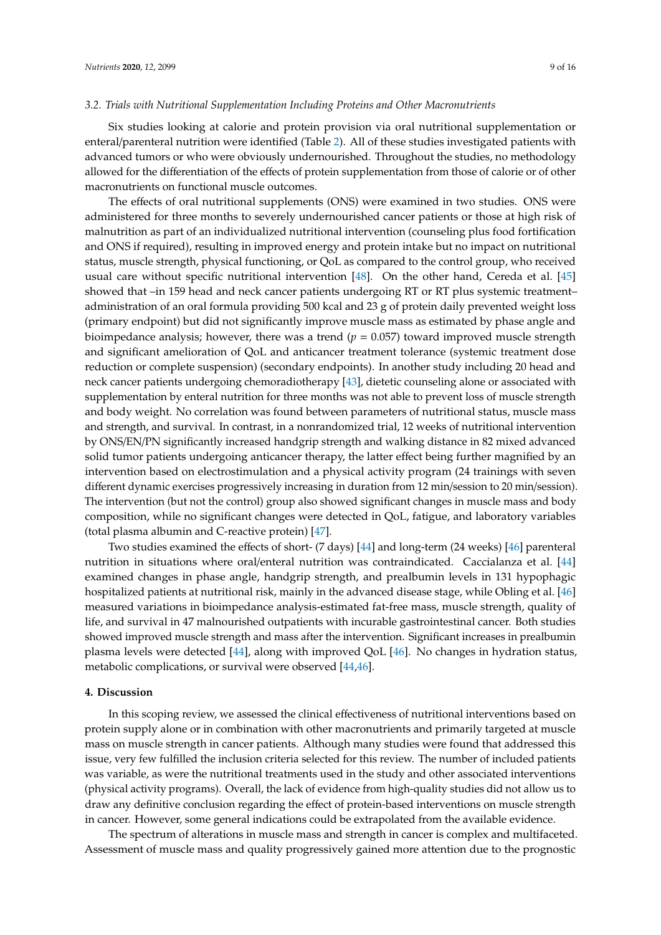#### *3.2. Trials with Nutritional Supplementation Including Proteins and Other Macronutrients*

Six studies looking at calorie and protein provision via oral nutritional supplementation or enteral/parenteral nutrition were identified (Table [2\)](#page-7-0). All of these studies investigated patients with advanced tumors or who were obviously undernourished. Throughout the studies, no methodology allowed for the differentiation of the effects of protein supplementation from those of calorie or of other macronutrients on functional muscle outcomes.

The effects of oral nutritional supplements (ONS) were examined in two studies. ONS were administered for three months to severely undernourished cancer patients or those at high risk of malnutrition as part of an individualized nutritional intervention (counseling plus food fortification and ONS if required), resulting in improved energy and protein intake but no impact on nutritional status, muscle strength, physical functioning, or QoL as compared to the control group, who received usual care without specific nutritional intervention [\[48\]](#page-14-22). On the other hand, Cereda et al. [\[45\]](#page-14-23) showed that –in 159 head and neck cancer patients undergoing RT or RT plus systemic treatment– administration of an oral formula providing 500 kcal and 23 g of protein daily prevented weight loss (primary endpoint) but did not significantly improve muscle mass as estimated by phase angle and bioimpedance analysis; however, there was a trend  $(p = 0.057)$  toward improved muscle strength and significant amelioration of QoL and anticancer treatment tolerance (systemic treatment dose reduction or complete suspension) (secondary endpoints). In another study including 20 head and neck cancer patients undergoing chemoradiotherapy [\[43\]](#page-14-24), dietetic counseling alone or associated with supplementation by enteral nutrition for three months was not able to prevent loss of muscle strength and body weight. No correlation was found between parameters of nutritional status, muscle mass and strength, and survival. In contrast, in a nonrandomized trial, 12 weeks of nutritional intervention by ONS/EN/PN significantly increased handgrip strength and walking distance in 82 mixed advanced solid tumor patients undergoing anticancer therapy, the latter effect being further magnified by an intervention based on electrostimulation and a physical activity program (24 trainings with seven different dynamic exercises progressively increasing in duration from 12 min/session to 20 min/session). The intervention (but not the control) group also showed significant changes in muscle mass and body composition, while no significant changes were detected in QoL, fatigue, and laboratory variables (total plasma albumin and C-reactive protein) [\[47\]](#page-14-25).

Two studies examined the effects of short- (7 days) [\[44\]](#page-14-26) and long-term (24 weeks) [\[46\]](#page-14-27) parenteral nutrition in situations where oral/enteral nutrition was contraindicated. Caccialanza et al. [\[44\]](#page-14-26) examined changes in phase angle, handgrip strength, and prealbumin levels in 131 hypophagic hospitalized patients at nutritional risk, mainly in the advanced disease stage, while Obling et al. [\[46\]](#page-14-27) measured variations in bioimpedance analysis-estimated fat-free mass, muscle strength, quality of life, and survival in 47 malnourished outpatients with incurable gastrointestinal cancer. Both studies showed improved muscle strength and mass after the intervention. Significant increases in prealbumin plasma levels were detected [\[44\]](#page-14-26), along with improved QoL [\[46\]](#page-14-27). No changes in hydration status, metabolic complications, or survival were observed [\[44,](#page-14-26)[46\]](#page-14-27).

# **4. Discussion**

In this scoping review, we assessed the clinical effectiveness of nutritional interventions based on protein supply alone or in combination with other macronutrients and primarily targeted at muscle mass on muscle strength in cancer patients. Although many studies were found that addressed this issue, very few fulfilled the inclusion criteria selected for this review. The number of included patients was variable, as were the nutritional treatments used in the study and other associated interventions (physical activity programs). Overall, the lack of evidence from high-quality studies did not allow us to draw any definitive conclusion regarding the effect of protein-based interventions on muscle strength in cancer. However, some general indications could be extrapolated from the available evidence.

The spectrum of alterations in muscle mass and strength in cancer is complex and multifaceted. Assessment of muscle mass and quality progressively gained more attention due to the prognostic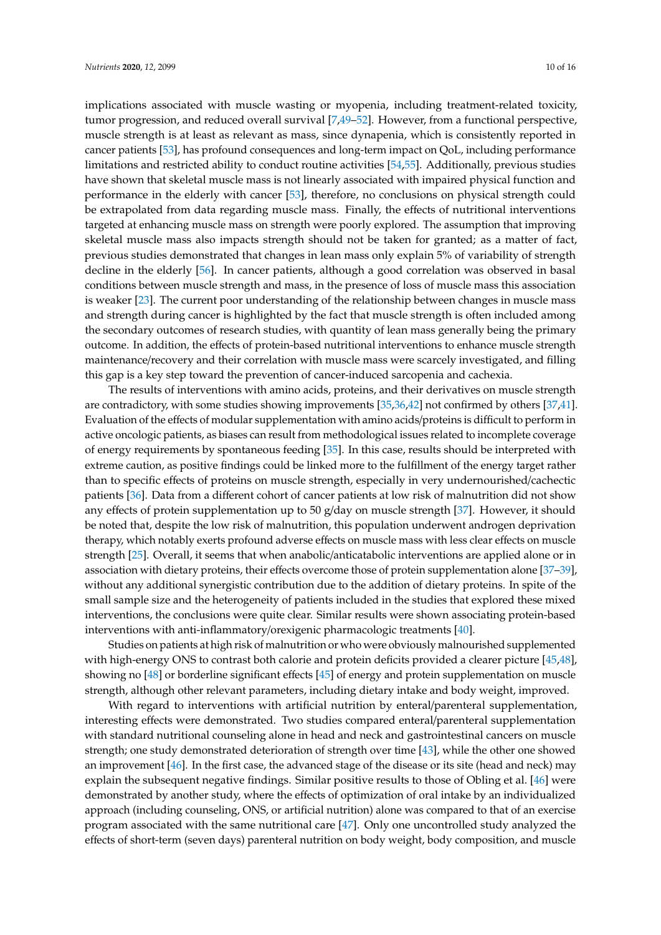implications associated with muscle wasting or myopenia, including treatment-related toxicity, tumor progression, and reduced overall survival [\[7](#page-12-1)[,49](#page-14-28)[–52\]](#page-15-0). However, from a functional perspective, muscle strength is at least as relevant as mass, since dynapenia, which is consistently reported in cancer patients [\[53\]](#page-15-1), has profound consequences and long-term impact on QoL, including performance limitations and restricted ability to conduct routine activities [\[54,](#page-15-2)[55\]](#page-15-3). Additionally, previous studies have shown that skeletal muscle mass is not linearly associated with impaired physical function and performance in the elderly with cancer [\[53\]](#page-15-1), therefore, no conclusions on physical strength could be extrapolated from data regarding muscle mass. Finally, the effects of nutritional interventions targeted at enhancing muscle mass on strength were poorly explored. The assumption that improving skeletal muscle mass also impacts strength should not be taken for granted; as a matter of fact, previous studies demonstrated that changes in lean mass only explain 5% of variability of strength decline in the elderly [\[56\]](#page-15-4). In cancer patients, although a good correlation was observed in basal conditions between muscle strength and mass, in the presence of loss of muscle mass this association is weaker [\[23\]](#page-13-0). The current poor understanding of the relationship between changes in muscle mass and strength during cancer is highlighted by the fact that muscle strength is often included among the secondary outcomes of research studies, with quantity of lean mass generally being the primary outcome. In addition, the effects of protein-based nutritional interventions to enhance muscle strength maintenance/recovery and their correlation with muscle mass were scarcely investigated, and filling this gap is a key step toward the prevention of cancer-induced sarcopenia and cachexia.

The results of interventions with amino acids, proteins, and their derivatives on muscle strength are contradictory, with some studies showing improvements [\[35](#page-14-0)[,36,](#page-14-1)[42\]](#page-14-7) not confirmed by others [\[37](#page-14-2)[,41\]](#page-14-6). Evaluation of the effects of modular supplementation with amino acids/proteins is difficult to perform in active oncologic patients, as biases can result from methodological issues related to incomplete coverage of energy requirements by spontaneous feeding [\[35\]](#page-14-0). In this case, results should be interpreted with extreme caution, as positive findings could be linked more to the fulfillment of the energy target rather than to specific effects of proteins on muscle strength, especially in very undernourished/cachectic patients [\[36\]](#page-14-1). Data from a different cohort of cancer patients at low risk of malnutrition did not show any effects of protein supplementation up to 50 g/day on muscle strength [\[37\]](#page-14-2). However, it should be noted that, despite the low risk of malnutrition, this population underwent androgen deprivation therapy, which notably exerts profound adverse effects on muscle mass with less clear effects on muscle strength [\[25\]](#page-13-2). Overall, it seems that when anabolic/anticatabolic interventions are applied alone or in association with dietary proteins, their effects overcome those of protein supplementation alone [\[37](#page-14-2)[–39\]](#page-14-4), without any additional synergistic contribution due to the addition of dietary proteins. In spite of the small sample size and the heterogeneity of patients included in the studies that explored these mixed interventions, the conclusions were quite clear. Similar results were shown associating protein-based interventions with anti-inflammatory/orexigenic pharmacologic treatments [\[40\]](#page-14-5).

Studies on patients at high risk of malnutrition or who were obviously malnourished supplemented with high-energy ONS to contrast both calorie and protein deficits provided a clearer picture [\[45,](#page-14-23)[48\]](#page-14-22), showing no [\[48\]](#page-14-22) or borderline significant effects [\[45\]](#page-14-23) of energy and protein supplementation on muscle strength, although other relevant parameters, including dietary intake and body weight, improved.

With regard to interventions with artificial nutrition by enteral/parenteral supplementation, interesting effects were demonstrated. Two studies compared enteral/parenteral supplementation with standard nutritional counseling alone in head and neck and gastrointestinal cancers on muscle strength; one study demonstrated deterioration of strength over time [\[43\]](#page-14-24), while the other one showed an improvement [\[46\]](#page-14-27). In the first case, the advanced stage of the disease or its site (head and neck) may explain the subsequent negative findings. Similar positive results to those of Obling et al. [\[46\]](#page-14-27) were demonstrated by another study, where the effects of optimization of oral intake by an individualized approach (including counseling, ONS, or artificial nutrition) alone was compared to that of an exercise program associated with the same nutritional care [\[47\]](#page-14-25). Only one uncontrolled study analyzed the effects of short-term (seven days) parenteral nutrition on body weight, body composition, and muscle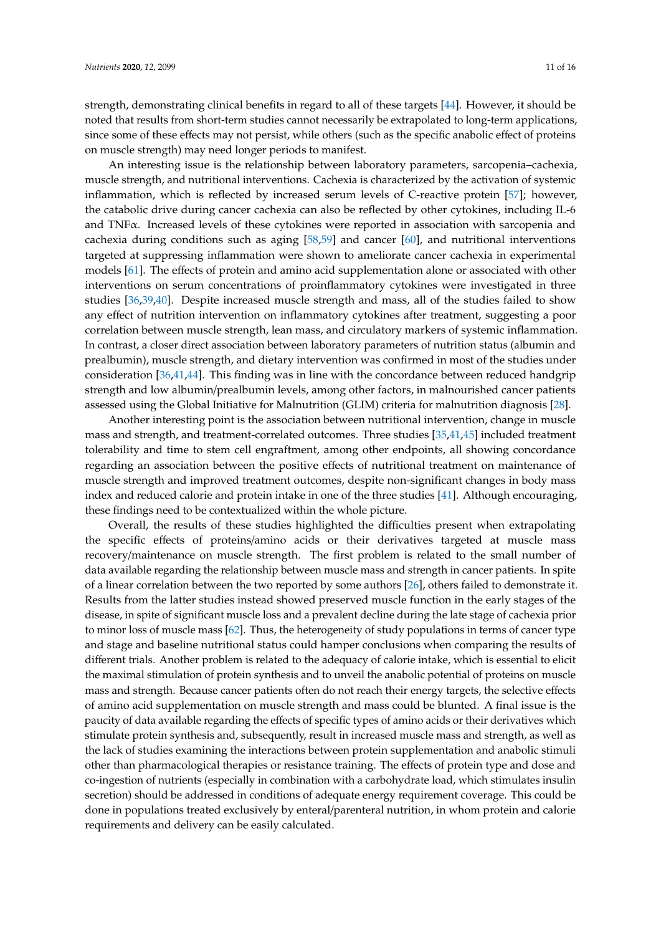strength, demonstrating clinical benefits in regard to all of these targets [\[44\]](#page-14-26). However, it should be noted that results from short-term studies cannot necessarily be extrapolated to long-term applications, since some of these effects may not persist, while others (such as the specific anabolic effect of proteins on muscle strength) may need longer periods to manifest.

An interesting issue is the relationship between laboratory parameters, sarcopenia–cachexia, muscle strength, and nutritional interventions. Cachexia is characterized by the activation of systemic inflammation, which is reflected by increased serum levels of C-reactive protein [\[57\]](#page-15-5); however, the catabolic drive during cancer cachexia can also be reflected by other cytokines, including IL-6 and TNFα. Increased levels of these cytokines were reported in association with sarcopenia and cachexia during conditions such as aging [\[58](#page-15-6)[,59\]](#page-15-7) and cancer [\[60\]](#page-15-8), and nutritional interventions targeted at suppressing inflammation were shown to ameliorate cancer cachexia in experimental models [\[61\]](#page-15-9). The effects of protein and amino acid supplementation alone or associated with other interventions on serum concentrations of proinflammatory cytokines were investigated in three studies [\[36,](#page-14-1)[39,](#page-14-4)[40\]](#page-14-5). Despite increased muscle strength and mass, all of the studies failed to show any effect of nutrition intervention on inflammatory cytokines after treatment, suggesting a poor correlation between muscle strength, lean mass, and circulatory markers of systemic inflammation. In contrast, a closer direct association between laboratory parameters of nutrition status (albumin and prealbumin), muscle strength, and dietary intervention was confirmed in most of the studies under consideration [\[36,](#page-14-1)[41](#page-14-6)[,44\]](#page-14-26). This finding was in line with the concordance between reduced handgrip strength and low albumin/prealbumin levels, among other factors, in malnourished cancer patients assessed using the Global Initiative for Malnutrition (GLIM) criteria for malnutrition diagnosis [\[28\]](#page-13-8).

Another interesting point is the association between nutritional intervention, change in muscle mass and strength, and treatment-correlated outcomes. Three studies [\[35](#page-14-0)[,41](#page-14-6)[,45\]](#page-14-23) included treatment tolerability and time to stem cell engraftment, among other endpoints, all showing concordance regarding an association between the positive effects of nutritional treatment on maintenance of muscle strength and improved treatment outcomes, despite non-significant changes in body mass index and reduced calorie and protein intake in one of the three studies [\[41\]](#page-14-6). Although encouraging, these findings need to be contextualized within the whole picture.

Overall, the results of these studies highlighted the difficulties present when extrapolating the specific effects of proteins/amino acids or their derivatives targeted at muscle mass recovery/maintenance on muscle strength. The first problem is related to the small number of data available regarding the relationship between muscle mass and strength in cancer patients. In spite of a linear correlation between the two reported by some authors [\[26\]](#page-13-3), others failed to demonstrate it. Results from the latter studies instead showed preserved muscle function in the early stages of the disease, in spite of significant muscle loss and a prevalent decline during the late stage of cachexia prior to minor loss of muscle mass [\[62\]](#page-15-10). Thus, the heterogeneity of study populations in terms of cancer type and stage and baseline nutritional status could hamper conclusions when comparing the results of different trials. Another problem is related to the adequacy of calorie intake, which is essential to elicit the maximal stimulation of protein synthesis and to unveil the anabolic potential of proteins on muscle mass and strength. Because cancer patients often do not reach their energy targets, the selective effects of amino acid supplementation on muscle strength and mass could be blunted. A final issue is the paucity of data available regarding the effects of specific types of amino acids or their derivatives which stimulate protein synthesis and, subsequently, result in increased muscle mass and strength, as well as the lack of studies examining the interactions between protein supplementation and anabolic stimuli other than pharmacological therapies or resistance training. The effects of protein type and dose and co-ingestion of nutrients (especially in combination with a carbohydrate load, which stimulates insulin secretion) should be addressed in conditions of adequate energy requirement coverage. This could be done in populations treated exclusively by enteral/parenteral nutrition, in whom protein and calorie requirements and delivery can be easily calculated.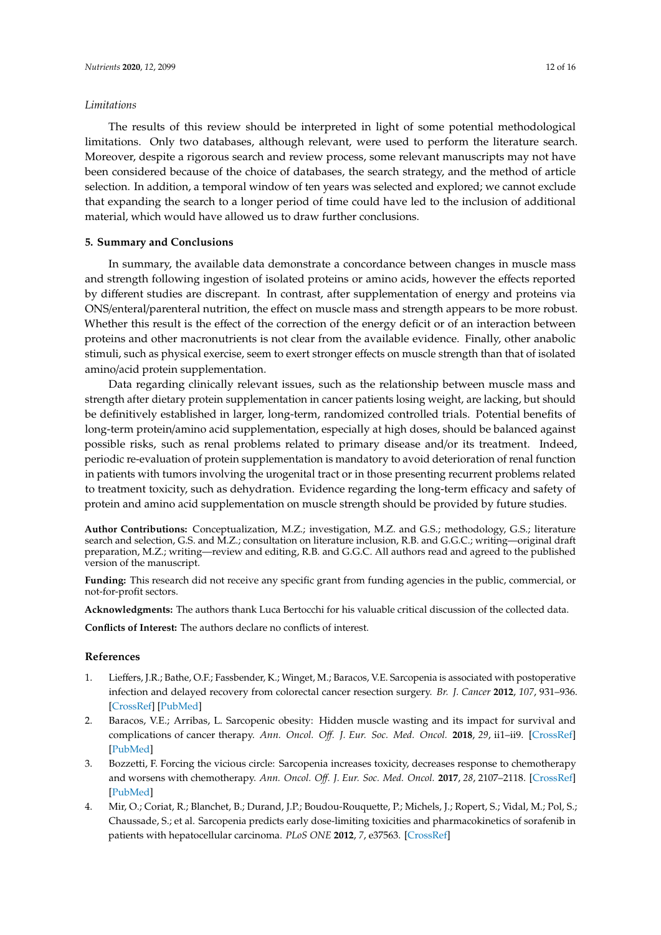### *Limitations*

The results of this review should be interpreted in light of some potential methodological limitations. Only two databases, although relevant, were used to perform the literature search. Moreover, despite a rigorous search and review process, some relevant manuscripts may not have been considered because of the choice of databases, the search strategy, and the method of article selection. In addition, a temporal window of ten years was selected and explored; we cannot exclude that expanding the search to a longer period of time could have led to the inclusion of additional material, which would have allowed us to draw further conclusions.

# **5. Summary and Conclusions**

In summary, the available data demonstrate a concordance between changes in muscle mass and strength following ingestion of isolated proteins or amino acids, however the effects reported by different studies are discrepant. In contrast, after supplementation of energy and proteins via ONS/enteral/parenteral nutrition, the effect on muscle mass and strength appears to be more robust. Whether this result is the effect of the correction of the energy deficit or of an interaction between proteins and other macronutrients is not clear from the available evidence. Finally, other anabolic stimuli, such as physical exercise, seem to exert stronger effects on muscle strength than that of isolated amino/acid protein supplementation.

Data regarding clinically relevant issues, such as the relationship between muscle mass and strength after dietary protein supplementation in cancer patients losing weight, are lacking, but should be definitively established in larger, long-term, randomized controlled trials. Potential benefits of long-term protein/amino acid supplementation, especially at high doses, should be balanced against possible risks, such as renal problems related to primary disease and/or its treatment. Indeed, periodic re-evaluation of protein supplementation is mandatory to avoid deterioration of renal function in patients with tumors involving the urogenital tract or in those presenting recurrent problems related to treatment toxicity, such as dehydration. Evidence regarding the long-term efficacy and safety of protein and amino acid supplementation on muscle strength should be provided by future studies.

**Author Contributions:** Conceptualization, M.Z.; investigation, M.Z. and G.S.; methodology, G.S.; literature search and selection, G.S. and M.Z.; consultation on literature inclusion, R.B. and G.G.C.; writing—original draft preparation, M.Z.; writing—review and editing, R.B. and G.G.C. All authors read and agreed to the published version of the manuscript.

**Funding:** This research did not receive any specific grant from funding agencies in the public, commercial, or not-for-profit sectors.

**Acknowledgments:** The authors thank Luca Bertocchi for his valuable critical discussion of the collected data.

**Conflicts of Interest:** The authors declare no conflicts of interest.

# **References**

- <span id="page-11-0"></span>1. Lieffers, J.R.; Bathe, O.F.; Fassbender, K.; Winget, M.; Baracos, V.E. Sarcopenia is associated with postoperative infection and delayed recovery from colorectal cancer resection surgery. *Br. J. Cancer* **2012**, *107*, 931–936. [\[CrossRef\]](http://dx.doi.org/10.1038/bjc.2012.350) [\[PubMed\]](http://www.ncbi.nlm.nih.gov/pubmed/22871883)
- <span id="page-11-1"></span>2. Baracos, V.E.; Arribas, L. Sarcopenic obesity: Hidden muscle wasting and its impact for survival and complications of cancer therapy. *Ann. Oncol. O*ff*. J. Eur. Soc. Med. Oncol.* **2018**, *29*, ii1–ii9. [\[CrossRef\]](http://dx.doi.org/10.1093/annonc/mdx810) [\[PubMed\]](http://www.ncbi.nlm.nih.gov/pubmed/29506228)
- <span id="page-11-3"></span>3. Bozzetti, F. Forcing the vicious circle: Sarcopenia increases toxicity, decreases response to chemotherapy and worsens with chemotherapy. *Ann. Oncol. O*ff*. J. Eur. Soc. Med. Oncol.* **2017**, *28*, 2107–2118. [\[CrossRef\]](http://dx.doi.org/10.1093/annonc/mdx271) [\[PubMed\]](http://www.ncbi.nlm.nih.gov/pubmed/28911059)
- <span id="page-11-2"></span>4. Mir, O.; Coriat, R.; Blanchet, B.; Durand, J.P.; Boudou-Rouquette, P.; Michels, J.; Ropert, S.; Vidal, M.; Pol, S.; Chaussade, S.; et al. Sarcopenia predicts early dose-limiting toxicities and pharmacokinetics of sorafenib in patients with hepatocellular carcinoma. *PLoS ONE* **2012**, *7*, e37563. [\[CrossRef\]](http://dx.doi.org/10.1371/journal.pone.0037563)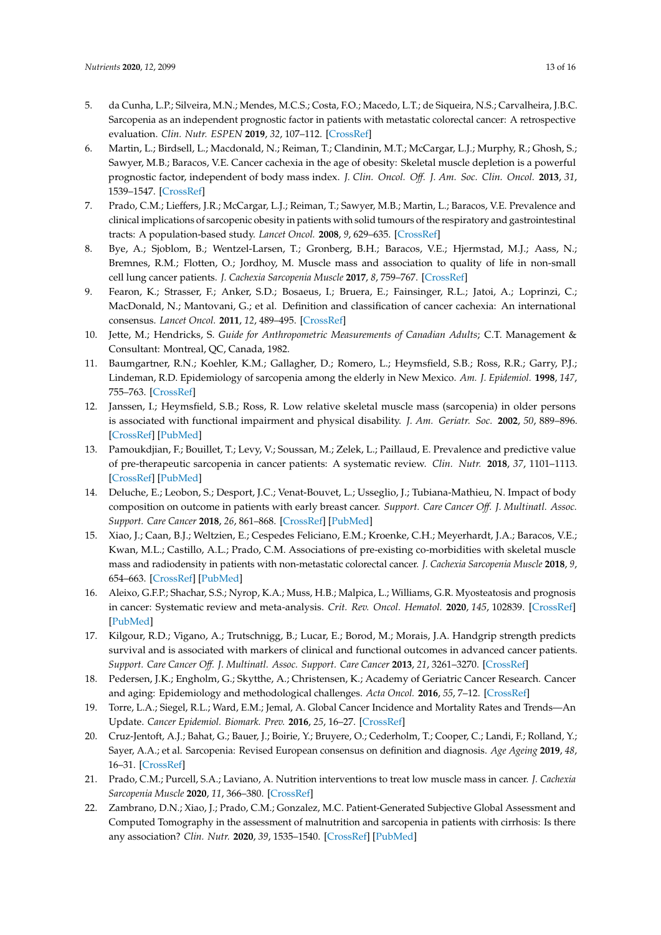- <span id="page-12-0"></span>5. da Cunha, L.P.; Silveira, M.N.; Mendes, M.C.S.; Costa, F.O.; Macedo, L.T.; de Siqueira, N.S.; Carvalheira, J.B.C. Sarcopenia as an independent prognostic factor in patients with metastatic colorectal cancer: A retrospective evaluation. *Clin. Nutr. ESPEN* **2019**, *32*, 107–112. [\[CrossRef\]](http://dx.doi.org/10.1016/j.clnesp.2019.04.004)
- <span id="page-12-6"></span>6. Martin, L.; Birdsell, L.; Macdonald, N.; Reiman, T.; Clandinin, M.T.; McCargar, L.J.; Murphy, R.; Ghosh, S.; Sawyer, M.B.; Baracos, V.E. Cancer cachexia in the age of obesity: Skeletal muscle depletion is a powerful prognostic factor, independent of body mass index. *J. Clin. Oncol. O*ff*. J. Am. Soc. Clin. Oncol.* **2013**, *31*, 1539–1547. [\[CrossRef\]](http://dx.doi.org/10.1200/JCO.2012.45.2722)
- <span id="page-12-1"></span>7. Prado, C.M.; Lieffers, J.R.; McCargar, L.J.; Reiman, T.; Sawyer, M.B.; Martin, L.; Baracos, V.E. Prevalence and clinical implications of sarcopenic obesity in patients with solid tumours of the respiratory and gastrointestinal tracts: A population-based study. *Lancet Oncol.* **2008**, *9*, 629–635. [\[CrossRef\]](http://dx.doi.org/10.1016/S1470-2045(08)70153-0)
- <span id="page-12-2"></span>8. Bye, A.; Sjoblom, B.; Wentzel-Larsen, T.; Gronberg, B.H.; Baracos, V.E.; Hjermstad, M.J.; Aass, N.; Bremnes, R.M.; Flotten, O.; Jordhoy, M. Muscle mass and association to quality of life in non-small cell lung cancer patients. *J. Cachexia Sarcopenia Muscle* **2017**, *8*, 759–767. [\[CrossRef\]](http://dx.doi.org/10.1002/jcsm.12206)
- <span id="page-12-3"></span>9. Fearon, K.; Strasser, F.; Anker, S.D.; Bosaeus, I.; Bruera, E.; Fainsinger, R.L.; Jatoi, A.; Loprinzi, C.; MacDonald, N.; Mantovani, G.; et al. Definition and classification of cancer cachexia: An international consensus. *Lancet Oncol.* **2011**, *12*, 489–495. [\[CrossRef\]](http://dx.doi.org/10.1016/S1470-2045(10)70218-7)
- <span id="page-12-4"></span>10. Jette, M.; Hendricks, S. *Guide for Anthropometric Measurements of Canadian Adults*; C.T. Management & Consultant: Montreal, QC, Canada, 1982.
- <span id="page-12-5"></span>11. Baumgartner, R.N.; Koehler, K.M.; Gallagher, D.; Romero, L.; Heymsfield, S.B.; Ross, R.R.; Garry, P.J.; Lindeman, R.D. Epidemiology of sarcopenia among the elderly in New Mexico. *Am. J. Epidemiol.* **1998**, *147*, 755–763. [\[CrossRef\]](http://dx.doi.org/10.1093/oxfordjournals.aje.a009520)
- <span id="page-12-7"></span>12. Janssen, I.; Heymsfield, S.B.; Ross, R. Low relative skeletal muscle mass (sarcopenia) in older persons is associated with functional impairment and physical disability. *J. Am. Geriatr. Soc.* **2002**, *50*, 889–896. [\[CrossRef\]](http://dx.doi.org/10.1046/j.1532-5415.2002.50216.x) [\[PubMed\]](http://www.ncbi.nlm.nih.gov/pubmed/12028177)
- <span id="page-12-8"></span>13. Pamoukdjian, F.; Bouillet, T.; Levy, V.; Soussan, M.; Zelek, L.; Paillaud, E. Prevalence and predictive value of pre-therapeutic sarcopenia in cancer patients: A systematic review. *Clin. Nutr.* **2018**, *37*, 1101–1113. [\[CrossRef\]](http://dx.doi.org/10.1016/j.clnu.2017.07.010) [\[PubMed\]](http://www.ncbi.nlm.nih.gov/pubmed/28734552)
- <span id="page-12-9"></span>14. Deluche, E.; Leobon, S.; Desport, J.C.; Venat-Bouvet, L.; Usseglio, J.; Tubiana-Mathieu, N. Impact of body composition on outcome in patients with early breast cancer. *Support. Care Cancer O*ff*. J. Multinatl. Assoc. Support. Care Cancer* **2018**, *26*, 861–868. [\[CrossRef\]](http://dx.doi.org/10.1007/s00520-017-3902-6) [\[PubMed\]](http://www.ncbi.nlm.nih.gov/pubmed/28948392)
- <span id="page-12-10"></span>15. Xiao, J.; Caan, B.J.; Weltzien, E.; Cespedes Feliciano, E.M.; Kroenke, C.H.; Meyerhardt, J.A.; Baracos, V.E.; Kwan, M.L.; Castillo, A.L.; Prado, C.M. Associations of pre-existing co-morbidities with skeletal muscle mass and radiodensity in patients with non-metastatic colorectal cancer. *J. Cachexia Sarcopenia Muscle* **2018**, *9*, 654–663. [\[CrossRef\]](http://dx.doi.org/10.1002/jcsm.12301) [\[PubMed\]](http://www.ncbi.nlm.nih.gov/pubmed/29675984)
- <span id="page-12-11"></span>16. Aleixo, G.F.P.; Shachar, S.S.; Nyrop, K.A.; Muss, H.B.; Malpica, L.; Williams, G.R. Myosteatosis and prognosis in cancer: Systematic review and meta-analysis. *Crit. Rev. Oncol. Hematol.* **2020**, *145*, 102839. [\[CrossRef\]](http://dx.doi.org/10.1016/j.critrevonc.2019.102839) [\[PubMed\]](http://www.ncbi.nlm.nih.gov/pubmed/31877534)
- <span id="page-12-12"></span>17. Kilgour, R.D.; Vigano, A.; Trutschnigg, B.; Lucar, E.; Borod, M.; Morais, J.A. Handgrip strength predicts survival and is associated with markers of clinical and functional outcomes in advanced cancer patients. *Support. Care Cancer O*ff*. J. Multinatl. Assoc. Support. Care Cancer* **2013**, *21*, 3261–3270. [\[CrossRef\]](http://dx.doi.org/10.1007/s00520-013-1894-4)
- <span id="page-12-13"></span>18. Pedersen, J.K.; Engholm, G.; Skytthe, A.; Christensen, K.; Academy of Geriatric Cancer Research. Cancer and aging: Epidemiology and methodological challenges. *Acta Oncol.* **2016**, *55*, 7–12. [\[CrossRef\]](http://dx.doi.org/10.3109/0284186X.2015.1114670)
- <span id="page-12-14"></span>19. Torre, L.A.; Siegel, R.L.; Ward, E.M.; Jemal, A. Global Cancer Incidence and Mortality Rates and Trends—An Update. *Cancer Epidemiol. Biomark. Prev.* **2016**, *25*, 16–27. [\[CrossRef\]](http://dx.doi.org/10.1158/1055-9965.EPI-15-0578)
- <span id="page-12-15"></span>20. Cruz-Jentoft, A.J.; Bahat, G.; Bauer, J.; Boirie, Y.; Bruyere, O.; Cederholm, T.; Cooper, C.; Landi, F.; Rolland, Y.; Sayer, A.A.; et al. Sarcopenia: Revised European consensus on definition and diagnosis. *Age Ageing* **2019**, *48*, 16–31. [\[CrossRef\]](http://dx.doi.org/10.1093/ageing/afy169)
- <span id="page-12-16"></span>21. Prado, C.M.; Purcell, S.A.; Laviano, A. Nutrition interventions to treat low muscle mass in cancer. *J. Cachexia Sarcopenia Muscle* **2020**, *11*, 366–380. [\[CrossRef\]](http://dx.doi.org/10.1002/jcsm.12525)
- <span id="page-12-17"></span>22. Zambrano, D.N.; Xiao, J.; Prado, C.M.; Gonzalez, M.C. Patient-Generated Subjective Global Assessment and Computed Tomography in the assessment of malnutrition and sarcopenia in patients with cirrhosis: Is there any association? *Clin. Nutr.* **2020**, *39*, 1535–1540. [\[CrossRef\]](http://dx.doi.org/10.1016/j.clnu.2019.06.018) [\[PubMed\]](http://www.ncbi.nlm.nih.gov/pubmed/31307841)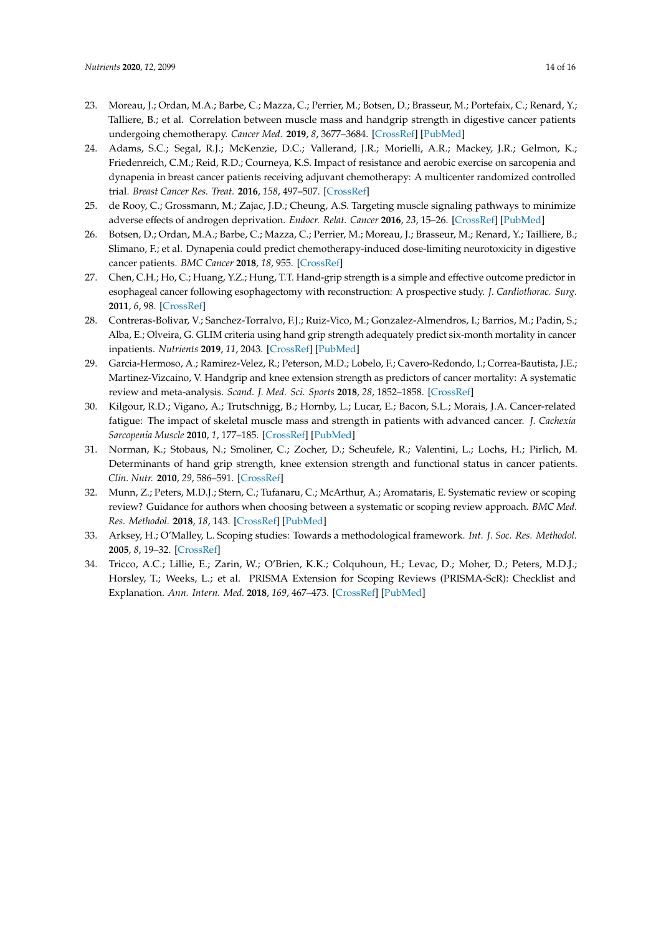- <span id="page-13-0"></span>23. Moreau, J.; Ordan, M.A.; Barbe, C.; Mazza, C.; Perrier, M.; Botsen, D.; Brasseur, M.; Portefaix, C.; Renard, Y.; Talliere, B.; et al. Correlation between muscle mass and handgrip strength in digestive cancer patients undergoing chemotherapy. *Cancer Med.* **2019**, *8*, 3677–3684. [\[CrossRef\]](http://dx.doi.org/10.1002/cam4.2238) [\[PubMed\]](http://www.ncbi.nlm.nih.gov/pubmed/31115188)
- <span id="page-13-1"></span>24. Adams, S.C.; Segal, R.J.; McKenzie, D.C.; Vallerand, J.R.; Morielli, A.R.; Mackey, J.R.; Gelmon, K.; Friedenreich, C.M.; Reid, R.D.; Courneya, K.S. Impact of resistance and aerobic exercise on sarcopenia and dynapenia in breast cancer patients receiving adjuvant chemotherapy: A multicenter randomized controlled trial. *Breast Cancer Res. Treat.* **2016**, *158*, 497–507. [\[CrossRef\]](http://dx.doi.org/10.1007/s10549-016-3900-2)
- <span id="page-13-2"></span>25. de Rooy, C.; Grossmann, M.; Zajac, J.D.; Cheung, A.S. Targeting muscle signaling pathways to minimize adverse effects of androgen deprivation. *Endocr. Relat. Cancer* **2016**, *23*, 15–26. [\[CrossRef\]](http://dx.doi.org/10.1530/ERC-15-0232) [\[PubMed\]](http://www.ncbi.nlm.nih.gov/pubmed/26432470)
- <span id="page-13-3"></span>26. Botsen, D.; Ordan, M.A.; Barbe, C.; Mazza, C.; Perrier, M.; Moreau, J.; Brasseur, M.; Renard, Y.; Tailliere, B.; Slimano, F.; et al. Dynapenia could predict chemotherapy-induced dose-limiting neurotoxicity in digestive cancer patients. *BMC Cancer* **2018**, *18*, 955. [\[CrossRef\]](http://dx.doi.org/10.1186/s12885-018-4860-1)
- 27. Chen, C.H.; Ho, C.; Huang, Y.Z.; Hung, T.T. Hand-grip strength is a simple and effective outcome predictor in esophageal cancer following esophagectomy with reconstruction: A prospective study. *J. Cardiothorac. Surg.* **2011**, *6*, 98. [\[CrossRef\]](http://dx.doi.org/10.1186/1749-8090-6-98)
- <span id="page-13-8"></span>28. Contreras-Bolivar, V.; Sanchez-Torralvo, F.J.; Ruiz-Vico, M.; Gonzalez-Almendros, I.; Barrios, M.; Padin, S.; Alba, E.; Olveira, G. GLIM criteria using hand grip strength adequately predict six-month mortality in cancer inpatients. *Nutrients* **2019**, *11*, 2043. [\[CrossRef\]](http://dx.doi.org/10.3390/nu11092043) [\[PubMed\]](http://www.ncbi.nlm.nih.gov/pubmed/31480635)
- 29. Garcia-Hermoso, A.; Ramirez-Velez, R.; Peterson, M.D.; Lobelo, F.; Cavero-Redondo, I.; Correa-Bautista, J.E.; Martinez-Vizcaino, V. Handgrip and knee extension strength as predictors of cancer mortality: A systematic review and meta-analysis. *Scand. J. Med. Sci. Sports* **2018**, *28*, 1852–1858. [\[CrossRef\]](http://dx.doi.org/10.1111/sms.13206)
- 30. Kilgour, R.D.; Vigano, A.; Trutschnigg, B.; Hornby, L.; Lucar, E.; Bacon, S.L.; Morais, J.A. Cancer-related fatigue: The impact of skeletal muscle mass and strength in patients with advanced cancer. *J. Cachexia Sarcopenia Muscle* **2010**, *1*, 177–185. [\[CrossRef\]](http://dx.doi.org/10.1007/s13539-010-0016-0) [\[PubMed\]](http://www.ncbi.nlm.nih.gov/pubmed/21475694)
- <span id="page-13-4"></span>31. Norman, K.; Stobaus, N.; Smoliner, C.; Zocher, D.; Scheufele, R.; Valentini, L.; Lochs, H.; Pirlich, M. Determinants of hand grip strength, knee extension strength and functional status in cancer patients. *Clin. Nutr.* **2010**, *29*, 586–591. [\[CrossRef\]](http://dx.doi.org/10.1016/j.clnu.2010.02.007)
- <span id="page-13-5"></span>32. Munn, Z.; Peters, M.D.J.; Stern, C.; Tufanaru, C.; McArthur, A.; Aromataris, E. Systematic review or scoping review? Guidance for authors when choosing between a systematic or scoping review approach. *BMC Med. Res. Methodol.* **2018**, *18*, 143. [\[CrossRef\]](http://dx.doi.org/10.1186/s12874-018-0611-x) [\[PubMed\]](http://www.ncbi.nlm.nih.gov/pubmed/30453902)
- <span id="page-13-6"></span>33. Arksey, H.; O'Malley, L. Scoping studies: Towards a methodological framework. *Int. J. Soc. Res. Methodol.* **2005**, *8*, 19–32. [\[CrossRef\]](http://dx.doi.org/10.1080/1364557032000119616)
- <span id="page-13-7"></span>34. Tricco, A.C.; Lillie, E.; Zarin, W.; O'Brien, K.K.; Colquhoun, H.; Levac, D.; Moher, D.; Peters, M.D.J.; Horsley, T.; Weeks, L.; et al. PRISMA Extension for Scoping Reviews (PRISMA-ScR): Checklist and Explanation. *Ann. Intern. Med.* **2018**, *169*, 467–473. [\[CrossRef\]](http://dx.doi.org/10.7326/M18-0850) [\[PubMed\]](http://www.ncbi.nlm.nih.gov/pubmed/30178033)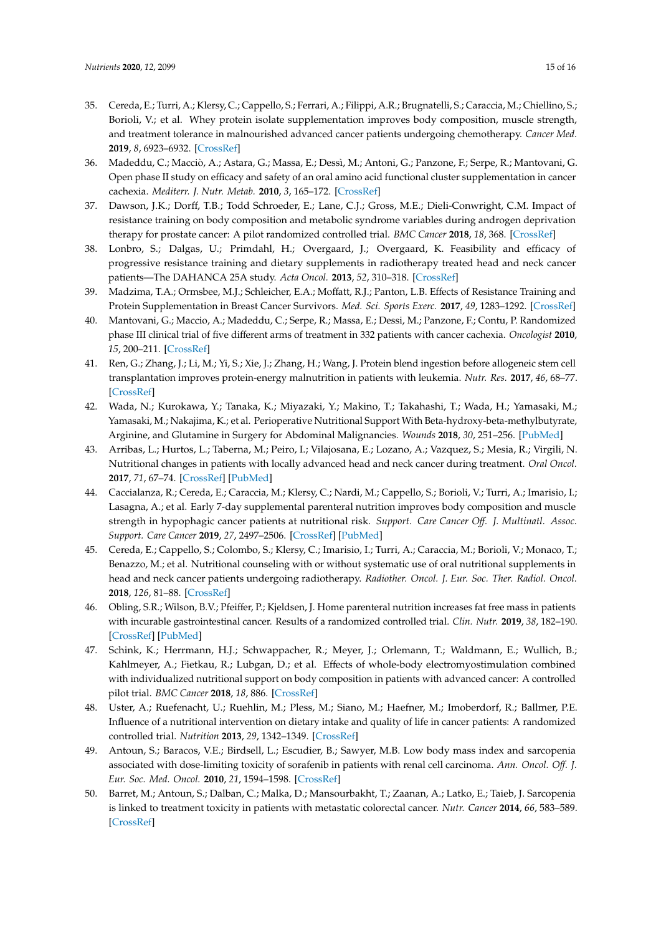- <span id="page-14-21"></span><span id="page-14-18"></span><span id="page-14-16"></span><span id="page-14-15"></span><span id="page-14-14"></span><span id="page-14-13"></span><span id="page-14-12"></span><span id="page-14-11"></span><span id="page-14-0"></span>35. Cereda, E.; Turri, A.; Klersy, C.; Cappello, S.; Ferrari, A.; Filippi, A.R.; Brugnatelli, S.; Caraccia, M.; Chiellino, S.; Borioli, V.; et al. Whey protein isolate supplementation improves body composition, muscle strength, and treatment tolerance in malnourished advanced cancer patients undergoing chemotherapy. *Cancer Med.* **2019**, *8*, 6923–6932. [\[CrossRef\]](http://dx.doi.org/10.1002/cam4.2517)
- <span id="page-14-8"></span><span id="page-14-1"></span>36. Madeddu, C.; Macciò, A.; Astara, G.; Massa, E.; Dessì, M.; Antoni, G.; Panzone, F.; Serpe, R.; Mantovani, G. Open phase II study on efficacy and safety of an oral amino acid functional cluster supplementation in cancer cachexia. *Mediterr. J. Nutr. Metab.* **2010**, *3*, 165–172. [\[CrossRef\]](http://dx.doi.org/10.3233/s12349-010-0016-9)
- <span id="page-14-9"></span><span id="page-14-2"></span>37. Dawson, J.K.; Dorff, T.B.; Todd Schroeder, E.; Lane, C.J.; Gross, M.E.; Dieli-Conwright, C.M. Impact of resistance training on body composition and metabolic syndrome variables during androgen deprivation therapy for prostate cancer: A pilot randomized controlled trial. *BMC Cancer* **2018**, *18*, 368. [\[CrossRef\]](http://dx.doi.org/10.1186/s12885-018-4306-9)
- <span id="page-14-10"></span><span id="page-14-3"></span>38. Lonbro, S.; Dalgas, U.; Primdahl, H.; Overgaard, J.; Overgaard, K. Feasibility and efficacy of progressive resistance training and dietary supplements in radiotherapy treated head and neck cancer patients—The DAHANCA 25A study. *Acta Oncol.* **2013**, *52*, 310–318. [\[CrossRef\]](http://dx.doi.org/10.3109/0284186X.2012.741325)
- <span id="page-14-4"></span>39. Madzima, T.A.; Ormsbee, M.J.; Schleicher, E.A.; Moffatt, R.J.; Panton, L.B. Effects of Resistance Training and Protein Supplementation in Breast Cancer Survivors. *Med. Sci. Sports Exerc.* **2017**, *49*, 1283–1292. [\[CrossRef\]](http://dx.doi.org/10.1249/MSS.0000000000001250)
- <span id="page-14-17"></span><span id="page-14-5"></span>40. Mantovani, G.; Maccio, A.; Madeddu, C.; Serpe, R.; Massa, E.; Dessi, M.; Panzone, F.; Contu, P. Randomized phase III clinical trial of five different arms of treatment in 332 patients with cancer cachexia. *Oncologist* **2010**, *15*, 200–211. [\[CrossRef\]](http://dx.doi.org/10.1634/theoncologist.2009-0153)
- <span id="page-14-19"></span><span id="page-14-6"></span>41. Ren, G.; Zhang, J.; Li, M.; Yi, S.; Xie, J.; Zhang, H.; Wang, J. Protein blend ingestion before allogeneic stem cell transplantation improves protein-energy malnutrition in patients with leukemia. *Nutr. Res.* **2017**, *46*, 68–77. [\[CrossRef\]](http://dx.doi.org/10.1016/j.nutres.2017.08.002)
- <span id="page-14-20"></span><span id="page-14-7"></span>42. Wada, N.; Kurokawa, Y.; Tanaka, K.; Miyazaki, Y.; Makino, T.; Takahashi, T.; Wada, H.; Yamasaki, M.; Yamasaki, M.; Nakajima, K.; et al. Perioperative Nutritional Support With Beta-hydroxy-beta-methylbutyrate, Arginine, and Glutamine in Surgery for Abdominal Malignancies. *Wounds* **2018**, *30*, 251–256. [\[PubMed\]](http://www.ncbi.nlm.nih.gov/pubmed/30256751)
- <span id="page-14-24"></span>43. Arribas, L.; Hurtos, L.; Taberna, M.; Peiro, I.; Vilajosana, E.; Lozano, A.; Vazquez, S.; Mesia, R.; Virgili, N. Nutritional changes in patients with locally advanced head and neck cancer during treatment. *Oral Oncol.* **2017**, *71*, 67–74. [\[CrossRef\]](http://dx.doi.org/10.1016/j.oraloncology.2017.06.003) [\[PubMed\]](http://www.ncbi.nlm.nih.gov/pubmed/28688694)
- <span id="page-14-26"></span>44. Caccialanza, R.; Cereda, E.; Caraccia, M.; Klersy, C.; Nardi, M.; Cappello, S.; Borioli, V.; Turri, A.; Imarisio, I.; Lasagna, A.; et al. Early 7-day supplemental parenteral nutrition improves body composition and muscle strength in hypophagic cancer patients at nutritional risk. *Support. Care Cancer O*ff*. J. Multinatl. Assoc. Support. Care Cancer* **2019**, *27*, 2497–2506. [\[CrossRef\]](http://dx.doi.org/10.1007/s00520-018-4527-0) [\[PubMed\]](http://www.ncbi.nlm.nih.gov/pubmed/30387050)
- <span id="page-14-23"></span>45. Cereda, E.; Cappello, S.; Colombo, S.; Klersy, C.; Imarisio, I.; Turri, A.; Caraccia, M.; Borioli, V.; Monaco, T.; Benazzo, M.; et al. Nutritional counseling with or without systematic use of oral nutritional supplements in head and neck cancer patients undergoing radiotherapy. *Radiother. Oncol. J. Eur. Soc. Ther. Radiol. Oncol.* **2018**, *126*, 81–88. [\[CrossRef\]](http://dx.doi.org/10.1016/j.radonc.2017.10.015)
- <span id="page-14-27"></span>46. Obling, S.R.; Wilson, B.V.; Pfeiffer, P.; Kjeldsen, J. Home parenteral nutrition increases fat free mass in patients with incurable gastrointestinal cancer. Results of a randomized controlled trial. *Clin. Nutr.* **2019**, *38*, 182–190. [\[CrossRef\]](http://dx.doi.org/10.1016/j.clnu.2017.12.011) [\[PubMed\]](http://www.ncbi.nlm.nih.gov/pubmed/29305245)
- <span id="page-14-25"></span>47. Schink, K.; Herrmann, H.J.; Schwappacher, R.; Meyer, J.; Orlemann, T.; Waldmann, E.; Wullich, B.; Kahlmeyer, A.; Fietkau, R.; Lubgan, D.; et al. Effects of whole-body electromyostimulation combined with individualized nutritional support on body composition in patients with advanced cancer: A controlled pilot trial. *BMC Cancer* **2018**, *18*, 886. [\[CrossRef\]](http://dx.doi.org/10.1186/s12885-018-4790-y)
- <span id="page-14-22"></span>48. Uster, A.; Ruefenacht, U.; Ruehlin, M.; Pless, M.; Siano, M.; Haefner, M.; Imoberdorf, R.; Ballmer, P.E. Influence of a nutritional intervention on dietary intake and quality of life in cancer patients: A randomized controlled trial. *Nutrition* **2013**, *29*, 1342–1349. [\[CrossRef\]](http://dx.doi.org/10.1016/j.nut.2013.05.004)
- <span id="page-14-28"></span>49. Antoun, S.; Baracos, V.E.; Birdsell, L.; Escudier, B.; Sawyer, M.B. Low body mass index and sarcopenia associated with dose-limiting toxicity of sorafenib in patients with renal cell carcinoma. *Ann. Oncol. O*ff*. J. Eur. Soc. Med. Oncol.* **2010**, *21*, 1594–1598. [\[CrossRef\]](http://dx.doi.org/10.1093/annonc/mdp605)
- 50. Barret, M.; Antoun, S.; Dalban, C.; Malka, D.; Mansourbakht, T.; Zaanan, A.; Latko, E.; Taieb, J. Sarcopenia is linked to treatment toxicity in patients with metastatic colorectal cancer. *Nutr. Cancer* **2014**, *66*, 583–589. [\[CrossRef\]](http://dx.doi.org/10.1080/01635581.2014.894103)